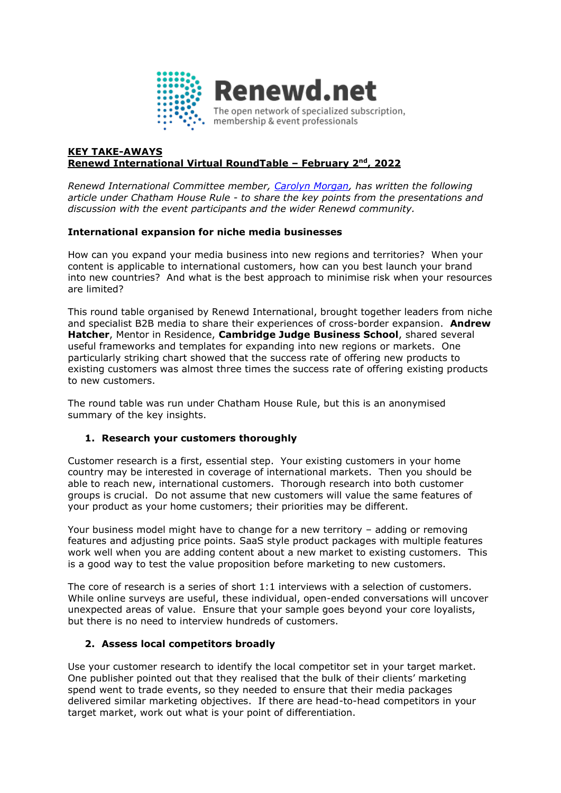

#### **KEY TAKE-AWAYS Renewd International Virtual RoundTable – February 2nd, 2022**

*Renewd International Committee member, [Carolyn Morgan,](https://www.linkedin.com/in/carolynmorgan/) has written the following article under Chatham House Rule - to share the key points from the presentations and discussion with the event participants and the wider Renewd community.* 

## **International expansion for niche media businesses**

How can you expand your media business into new regions and territories? When your content is applicable to international customers, how can you best launch your brand into new countries? And what is the best approach to minimise risk when your resources are limited?

This round table organised by Renewd International, brought together leaders from niche and specialist B2B media to share their experiences of cross-border expansion. **Andrew Hatcher**, Mentor in Residence, **Cambridge Judge Business School**, shared several useful frameworks and templates for expanding into new regions or markets. One particularly striking chart showed that the success rate of offering new products to existing customers was almost three times the success rate of offering existing products to new customers.

The round table was run under Chatham House Rule, but this is an anonymised summary of the key insights.

## **1. Research your customers thoroughly**

Customer research is a first, essential step. Your existing customers in your home country may be interested in coverage of international markets. Then you should be able to reach new, international customers. Thorough research into both customer groups is crucial. Do not assume that new customers will value the same features of your product as your home customers; their priorities may be different.

Your business model might have to change for a new territory – adding or removing features and adjusting price points. SaaS style product packages with multiple features work well when you are adding content about a new market to existing customers. This is a good way to test the value proposition before marketing to new customers.

The core of research is a series of short 1:1 interviews with a selection of customers. While online surveys are useful, these individual, open-ended conversations will uncover unexpected areas of value. Ensure that your sample goes beyond your core loyalists, but there is no need to interview hundreds of customers.

## **2. Assess local competitors broadly**

Use your customer research to identify the local competitor set in your target market. One publisher pointed out that they realised that the bulk of their clients' marketing spend went to trade events, so they needed to ensure that their media packages delivered similar marketing objectives. If there are head-to-head competitors in your target market, work out what is your point of differentiation.